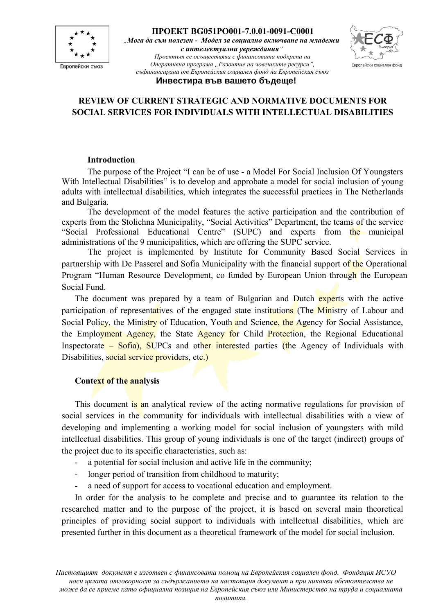



#### **Инвестира във вашето бъдеще!**

## **REVIEW OF CURRENT STRATEGIC AND NORMATIVE DOCUMENTS FOR SOCIAL SERVICES FOR INDIVIDUALS WITH INTELLECTUAL DISABILITIES**

#### **Introduction**

The purpose of the Project "I can be of use - a Model For Social Inclusion Of Youngsters With Intellectual Disabilities" is to develop and approbate a model for social inclusion of young adults with intellectual disabilities, which integrates the successful practices in The Netherlands and Bulgaria.

The development of the model features the active participation and the contribution of experts from the Stolichna Municipality, "Social Activities" Department, the teams of the service "Social Professional Educational Centre" (SUPC) and experts from the municipal administrations of the 9 municipalities, which are offering the SUPC service.

The project is implemented by Institute for Community Based Social Services in partnership with De Passerel and Sofia Municipality with the financial support of the Operational Program "Human Resource Development, co funded by European Union through the European Social Fund.

The document was prepared by a team of Bulgarian and Dutch experts with the active participation of representatives of the engaged state institutions (The Ministry of Labour and Social Policy, the Ministry of Education, Youth and Science, the Agency for Social Assistance, the Employment Agency, the State Agency for Child Protection, the Regional Educational Inspectorate – Sofia), SUPCs and other interested parties (the Agency of Individuals with Disabilities, social service providers, etc.)

#### **Context of the analysis**

This document is an analytical review of the acting normative regulations for provision of social services in the community for individuals with intellectual disabilities with a view of developing and implementing a working model for social inclusion of youngsters with mild intellectual disabilities. This group of young individuals is one of the target (indirect) groups of the project due to its specific characteristics, such as:

- a potential for social inclusion and active life in the community;
- longer period of transition from childhood to maturity;
- a need of support for access to vocational education and employment.

In order for the analysis to be complete and precise and to guarantee its relation to the researched matter and to the purpose of the project, it is based on several main theoretical principles of providing social support to individuals with intellectual disabilities, which are presented further in this document as a theoretical framework of the model for social inclusion.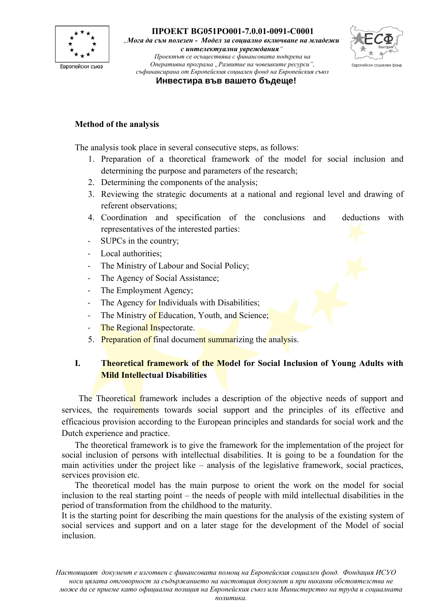

*"Мога да съм полезен - Модел за социално включване на младежи с интелектуални увреждания"*

*Проектът се осъществява с финансовата подкрепа на Оперативна програма "Развитие на човешките ресурси", съфинансирана от Европейския социален фонд на Европейския съюз*



**Инвестира във вашето бъдеще!**

#### **Method of the analysis**

The analysis took place in several consecutive steps, as follows:

- 1. Preparation of a theoretical framework of the model for social inclusion and determining the purpose and parameters of the research;
- 2. Determining the components of the analysis;
- 3. Reviewing the strategic documents at a national and regional level and drawing of referent observations;
- 4. Coordination and specification of the conclusions and deductions with representatives of the interested parties:
- SUPCs in the country;
- Local authorities;
- The Ministry of Labour and Social Policy;
- The Agency of Social Assistance;
- The Employment Agency;
- The Agency for Individuals with Disabilities;
- The Ministry of Education, Youth, and Science;
- The Regional Inspectorate.
- 5. Preparation of final document summarizing the analysis.

## **I. Theoretical framework of the Model for Social Inclusion of Young Adults with Mild Intellectual Disabilities**

The Theoretical framework includes a description of the objective needs of support and services, the requirements towards social support and the principles of its effective and efficacious provision according to the European principles and standards for social work and the Dutch experience and practice.

The theoretical framework is to give the framework for the implementation of the project for social inclusion of persons with intellectual disabilities. It is going to be a foundation for the main activities under the project like – analysis of the legislative framework, social practices, services provision etc.

The theoretical model has the main purpose to orient the work on the model for social inclusion to the real starting point – the needs of people with mild intellectual disabilities in the period of transformation from the childhood to the maturity.

It is the starting point for describing the main questions for the analysis of the existing system of social services and support and on a later stage for the development of the Model of social inclusion.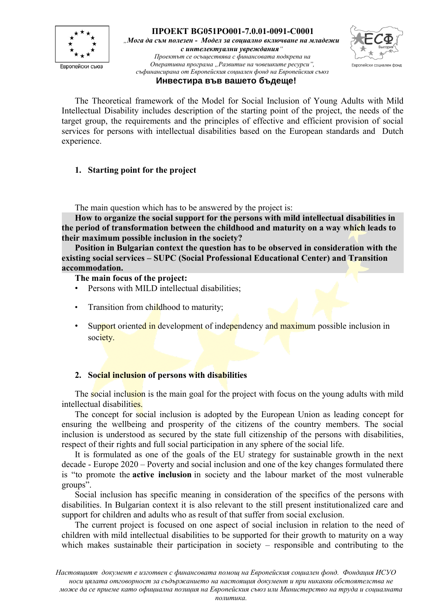



#### **Инвестира във вашето бъдеще!**

The Theoretical framework of the Model for Social Inclusion of Young Adults with Mild Intellectual Disability includes description of the starting point of the project, the needs of the target group, the requirements and the principles of effective and efficient provision of social services for persons with intellectual disabilities based on the European standards and Dutch experience.

## **1. Starting point for the project**

The main question which has to be answered by the project is:

**How to organize the social support for the persons with mild intellectual disabilities in the period of transformation between the childhood and maturity on a way which leads to their maximum possible inclusion in the society?** 

**Position in Bulgarian context the question has to be observed in consideration with the existing social services – SUPC (Social Professional Educational Center) and Transition accommodation.**

**The main focus of the project:**

- Persons with MILD intellectual disabilities;
- Transition from childhood to maturity;
- Support oriented in development of independency and maximum possible inclusion in society.

#### **2. Social inclusion of persons with disabilities**

The social inclusion is the main goal for the project with focus on the young adults with mild intellectual disabilities.

The concept for social inclusion is adopted by the European Union as leading concept for ensuring the wellbeing and prosperity of the citizens of the country members. The social inclusion is understood as secured by the state full citizenship of the persons with disabilities, respect of their rights and full social participation in any sphere of the social life.

It is formulated as one of the goals of the EU strategy for sustainable growth in the next decade - Europe 2020 – Poverty and social inclusion and one of the key changes formulated there is "to promote the **active inclusion** in society and the labour market of the most vulnerable groups".

Social inclusion has specific meaning in consideration of the specifics of the persons with disabilities. In Bulgarian context it is also relevant to the still present institutionalized care and support for children and adults who as result of that suffer from social exclusion.

The current project is focused on one aspect of social inclusion in relation to the need of children with mild intellectual disabilities to be supported for their growth to maturity on a way which makes sustainable their participation in society – responsible and contributing to the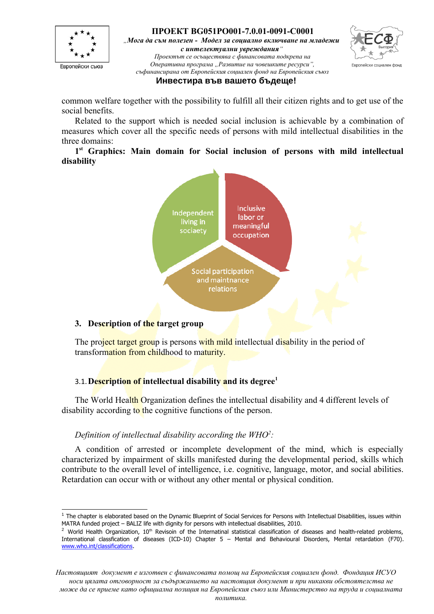

*"Мога да съм полезен - Модел за социално включване на младежи с интелектуални увреждания"*

*Проектът се осъществява с финансовата подкрепа на Оперативна програма "Развитие на човешките ресурси", съфинансирана от Европейския социален фонд на Европейския съюз*



#### **Инвестира във вашето бъдеще!**

common welfare together with the possibility to fulfill all their citizen rights and to get use of the social benefits.

Related to the support which is needed social inclusion is achievable by a combination of measures which cover all the specific needs of persons with mild intellectual disabilities in the three domains:

**1 st Graphics: Main domain for Social inclusion of persons with mild intellectual disability**



#### **3. Description of the target group**

The project target group is persons with mild intellectual disability in the period of transformation from childhood to maturity.

## 3.1.**Description of intellectual disability and its degree[1](#page-3-0)**

The World Health Organization defines the intellectual disability and 4 different levels of disability according to the cognitive functions of the person.

#### *Definition of intellectual disability according the WHO[2](#page-3-1) :*

A condition of arrested or incomplete development of the mind, which is especially characterized by impairment of skills manifested during the developmental period, skills which contribute to the overall level of intelligence, i.e. cognitive, language, motor, and social abilities. Retardation can occur with or without any other mental or physical condition.

<span id="page-3-0"></span> $^1$  The chapter is elaborated based on the Dynamic Blueprint of Social Services for Persons with Intellectual Disabilities, issues within MATRA funded project – BALIZ life with dignity for persons with intellectual disabilities, 2010.

<span id="page-3-1"></span> $2$  World Health Organization, 10<sup>th</sup> Revisoin of the Internatinal statistical classification of diseases and health-related problems, International classfication of diseases (ICD-10) Chapter 5 – Mental and Behavioural Disorders, Mental retardation (F70). [www.who.int/classifications.](http://www.who.int/classifications)

*Настоящият документ е изготвен с финансовата помощ на Европейския социален фонд. Фондация ИСУО носи цялата отговорност за съдържанието на настоящия документ и при никакви обстоятелства не може да се приеме като официална позиция на Европейския съюз или Министерство на труда и социалната*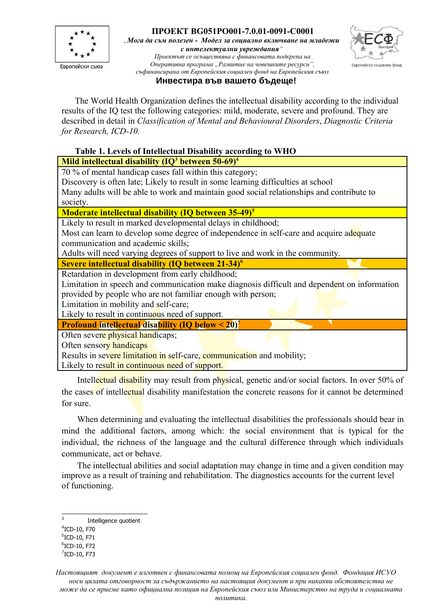

*"Мога да съм полезен - Модел за социално включване на младежи с интелектуални увреждания"*



*Проектът се осъществява с финансовата подкрепа на Оперативна програма "Развитие на човешките ресурси", съфинансирана от Европейския социален фонд на Европейския съюз*

#### **Инвестира във вашето бъдеще!**

The World Health Organization defines the intellectual disability according to the individual results of the IQ test the following categories: mild, moderate, severe and profound. They are described in detail in *Classification of Mental and Behavioural Disorders*, *Diagnostic Criteria for Research, ICD-10.*

## **Table 1. Levels of Intellectual Disability according to WHO Mild intellectual disability (IQ[3](#page-4-0) between 50-69)[4](#page-4-1)**

70 % of mental handicap cases fall within this category;

Discovery is often late; Likely to result in some learning difficulties at school

Many adults will be able to work and maintain good social relationships and contribute to society.

**Moderate intellectual disability (IQ between 35-49)[5](#page-4-2)**

Likely to result in marked developmental delays in childhood;

Most can learn to develop some degree of independence in self-care and acquire adequate communication and academic skills;

Adults will need varying degrees of support to live and work in the community.

**Severe intellectual disability (IQ between 21-34)[6](#page-4-3)**

Retardation in development from early childhood;

Limitation in speech and communication make diagnosis difficult and dependent on information provided by people who are not familiar enough with person;

Limitation in mobility and self-care;

Likely to result in continuous need of support.

**Profound intellectual disability (IQ below < 20)[7](#page-4-4)**

Often severe physical handicaps;

Often sensory handicaps

Results in severe limitation in self-care, communication and mobility;

Likely to result in continuous need of support.

Intellectual disability may result from physical, genetic and/or social factors. In over 50% of the cases of intellectual disability manifestation the concrete reasons for it cannot be determined for sure.

When determining and evaluating the intellectual disabilities the professionals should bear in mind the additional factors, among which: the social environment that is typical for the individual, the richness of the language and the cultural difference through which individuals communicate, act or behave.

The intellectual abilities and social adaptation may change in time and a given condition may improve as a result of training and rehabilitation. The diagnostics accounts for the current level of functioning.

<span id="page-4-0"></span><sup>3</sup> Intelligence quotient

<span id="page-4-1"></span><sup>4</sup> ICD-10, F70

<span id="page-4-2"></span><sup>5</sup> ICD-10, F71

<span id="page-4-3"></span> $6$ ICD-10, F72

<span id="page-4-4"></span> $7$ ICD-10, F73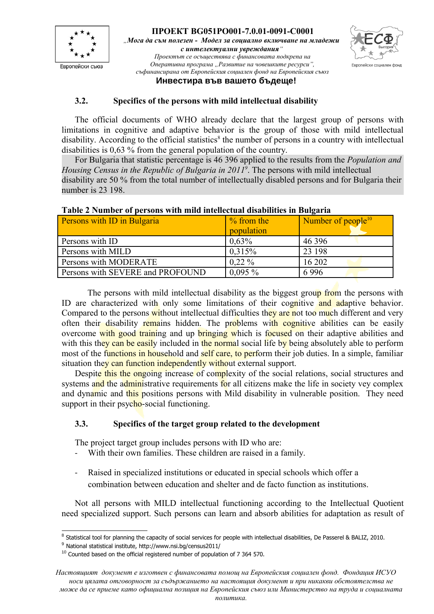



## **Инвестира във вашето бъдеще!**

## **3.2. Specifics of the persons with mild intellectual disability**

The official documents of WHO already declare that the largest group of persons with limitations in cognitive and adaptive behavior is the group of those with mild intellectual disability. According to the official statistics<sup>[8](#page-5-0)</sup> the number of persons in a country with intellectual disabilities is 0,63 % from the general population of the country.

For Bulgaria that statistic percentage is 46 396 applied to the results from the *Population and Housing Census in the Republic of Bulgaria in 2011[9](#page-5-1)* . The persons with mild intellectual disability are 50 % from the total number of intellectually disabled persons and for Bulgaria their number is 23 198.

| Persons with ID in Bulgaria      | $%$ from the<br>population | Number of $people^{10}$ |
|----------------------------------|----------------------------|-------------------------|
| Persons with ID                  | 0,63%                      | 46 3 96                 |
| Persons with MILD                | 0,315%                     | 23 198                  |
| Persons with MODERATE            | $0.22\%$                   | 16 202                  |
| Persons with SEVERE and PROFOUND | $0,095\%$                  | 6996                    |

#### **Table 2 Number of persons with mild intellectual disabilities in Bulgaria**

The persons with mild intellectual disability as the biggest group from the persons with ID are characterized with only some limitations of their cognitive and adaptive behavior. Compared to the persons without intellectual difficulties they are not too much different and very often their disability remains hidden. The problems with cognitive abilities can be easily overcome with good training and up bringing which is focused on their adaptive abilities and with this they can be easily included in the normal social life by being absolutely able to perform most of the functions in household and self care, to perform their job duties. In a simple, familiar situation they can function independently without external support.

Despite this the ongoing increase of complexity of the social relations, social structures and systems and the administrative requirements for all citizens make the life in society vey complex and dynamic and this positions persons with Mild disability in vulnerable position. They need support in their psycho-social functioning.

## **3.3. Specifics of the target group related to the development**

The project target group includes persons with ID who are:

- With their own families. These children are raised in a family.
- Raised in specialized institutions or educated in special schools which offer a combination between education and shelter and de facto function as institutions.

Not all persons with MILD intellectual functioning according to the Intellectual Quotient need specialized support. Such persons can learn and absorb abilities for adaptation as result of

<span id="page-5-0"></span><sup>&</sup>lt;sup>8</sup> Statistical tool for planning the capacity of social services for people with intellectual disabilities, De Passerel & BALIZ, 2010.

<span id="page-5-1"></span><sup>9</sup> National statistical institute, http://www.nsi.bg/census2011/

<span id="page-5-2"></span> $10$  Counted based on the official registered number of population of 7 364 570.

*Настоящият документ е изготвен с финансовата помощ на Европейския социален фонд. Фондация ИСУО носи цялата отговорност за съдържанието на настоящия документ и при никакви обстоятелства не може да се приеме като официална позиция на Европейския съюз или Министерство на труда и социалната*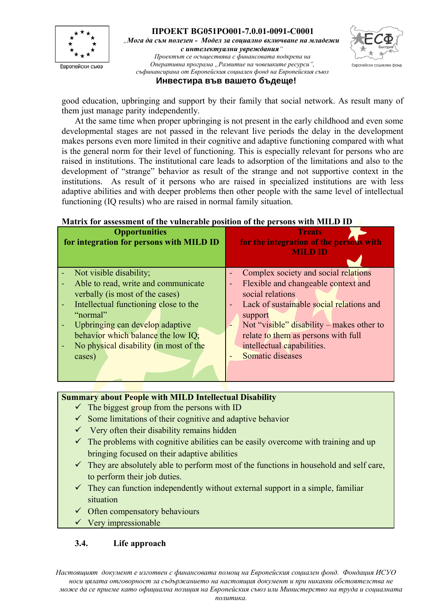



#### **Инвестира във вашето бъдеще!**

good education, upbringing and support by their family that social network. As result many of them just manage parity independently.

At the same time when proper upbringing is not present in the early childhood and even some developmental stages are not passed in the relevant live periods the delay in the development makes persons even more limited in their cognitive and adaptive functioning compared with what is the general norm for their level of functioning. This is especially relevant for persons who are raised in institutions. The institutional care leads to adsorption of the limitations and also to the development of "strange" behavior as result of the strange and not supportive context in the institutions. As result of it persons who are raised in specialized institutions are with less adaptive abilities and with deeper problems then other people with the same level of intellectual functioning (IQ results) who are raised in normal family situation.

#### **Matrix for assessment of the vulnerable position of the persons with MILD ID**

| <b>Opportunities</b><br>for integration for persons with MILD ID | <b>Treats</b><br>for the integration of the persons with<br><b>MILD ID</b> |
|------------------------------------------------------------------|----------------------------------------------------------------------------|
| Not visible disability;                                          | Complex society and social relations                                       |
| Able to read, write and communicate                              | Flexible and changeable context and<br>÷                                   |
| verbally (is most of the cases)                                  | social relations                                                           |
| Intellectual functioning close to the                            | Lack of sustainable social relations and<br>$\equiv$                       |
| "normal"                                                         | support                                                                    |
| Upbringing can develop adaptive                                  | Not "visible" disability – makes other to<br>٠                             |
| behavior which balance the low IQ;                               | relate to them as persons with full                                        |
| No physical disability (in most of the                           | intellectual capabilities.                                                 |
| cases)                                                           | Somatic diseases                                                           |
|                                                                  |                                                                            |

## **Summary about People with MILD Intellectual Disability**

- $\checkmark$  The biggest group from the persons with ID
- $\checkmark$  Some limitations of their cognitive and adaptive behavior
- $\checkmark$  Very often their disability remains hidden
- $\checkmark$  The problems with cognitive abilities can be easily overcome with training and up bringing focused on their adaptive abilities
- $\checkmark$  They are absolutely able to perform most of the functions in household and self care, to perform their job duties.
- $\checkmark$  They can function independently without external support in a simple, familiar situation
- $\checkmark$  Often compensatory behaviours
- $\checkmark$  Very impressionable

#### **3.4. Life approach**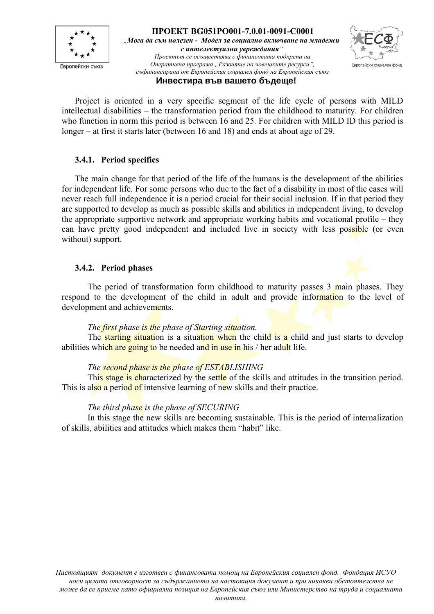



#### **Инвестира във вашето бъдеще!**

Project is oriented in a very specific segment of the life cycle of persons with MILD intellectual disabilities – the transformation period from the childhood to maturity. For children who function in norm this period is between 16 and 25. For children with MILD ID this period is longer – at first it starts later (between 16 and 18) and ends at about age of 29.

## **3.4.1. Period specifics**

The main change for that period of the life of the humans is the development of the abilities for independent life. For some persons who due to the fact of a disability in most of the cases will never reach full independence it is a period crucial for their social inclusion. If in that period they are supported to develop as much as possible skills and abilities in independent living, to develop the appropriate supportive network and appropriate working habits and vocational profile – they can have pretty good independent and included live in society with less possible (or even without) support.

#### **3.4.2. Period phases**

The period of transformation form childhood to maturity passes 3 main phases. They respond to the development of the child in adult and provide information to the level of development and achievements.

## *The first phase is the phase of Starting situation.*

The starting situation is a situation when the child is a child and just starts to develop abilities which are going to be needed and in use in his / her adult life.

## *The second phase is the phase of ESTABLISHING*

This stage is characterized by the settle of the skills and attitudes in the transition period. This is also a period of intensive learning of new skills and their practice.

#### *The third phase is the phase of SECURING*

In this stage the new skills are becoming sustainable. This is the period of internalization of skills, abilities and attitudes which makes them "habit" like.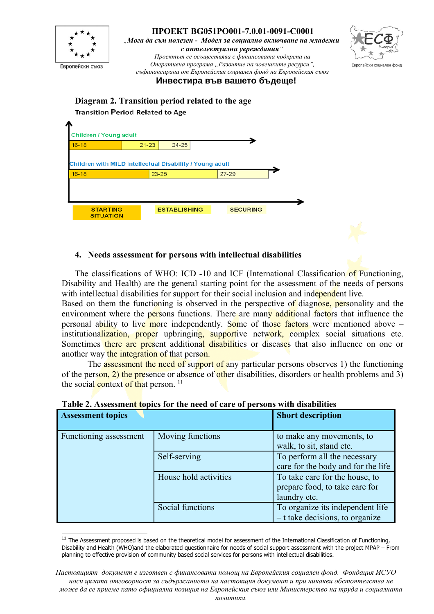

 $27 - 29$ 

#### **4. Needs assessment for persons with intellectual disabilities**

Children with MILD Intellectual Disability / Young adult

23-25

 $16 - 18$ 

The classifications of WHO: ICD -10 and ICF (International Classification of Functioning, Disability and Health) are the general starting point for the assessment of the needs of persons with intellectual disabilities for support for their social inclusion and independent live.

Based on them the functioning is observed in the perspective of diagnose, personality and the environment where the persons functions. There are many additional factors that influence the personal ability to live more independently. Some of those factors were mentioned above – institutionalization, proper upbringing, supportive network, complex social situations etc. Sometimes there are present additional disabilities or diseases that also influence on one or another way the integration of that person.

The assessment the need of support of any particular persons observes 1) the functioning of the person, 2) the presence or absence of other disabilities, disorders or health problems and 3) the social context of that person.<sup>[11](#page-8-0)</sup>

| <b>Assessment topics</b> |                       | <b>Short description</b>                                                         |
|--------------------------|-----------------------|----------------------------------------------------------------------------------|
| Functioning assessment   | Moving functions      | to make any movements, to<br>walk, to sit, stand etc.                            |
|                          | Self-serving          | To perform all the necessary<br>care for the body and for the life               |
|                          | House hold activities | To take care for the house, to<br>prepare food, to take care for<br>laundry etc. |
|                          | Social functions      | To organize its independent life<br>$-$ t take decisions, to organize            |

|  |  |  |  |  | Table 2. Assessment topics for the need of care of persons with disabilities |
|--|--|--|--|--|------------------------------------------------------------------------------|
|--|--|--|--|--|------------------------------------------------------------------------------|

<span id="page-8-0"></span> $11$  The Assessment proposed is based on the theoretical model for assessment of the International Classification of Functioning, Disability and Health (WHO)and the elaborated questionnaire for needs of social support assessment with the project MPAP – From planning to effective provision of community based social services for persons with intellectual disabilities.

*Настоящият документ е изготвен с финансовата помощ на Европейския социален фонд. Фондация ИСУО носи цялата отговорност за съдържанието на настоящия документ и при никакви обстоятелства не може да се приеме като официална позиция на Европейския съюз или Министерство на труда и социалната*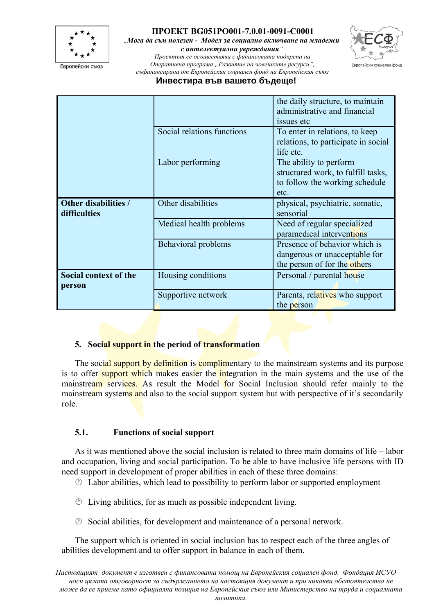

*"Мога да съм полезен - Модел за социално включване на младежи с интелектуални увреждания"*



*Проектът се осъществява с финансовата подкрепа на Оперативна програма "Развитие на човешките ресурси", съфинансирана от Европейския социален фонд на Европейския съюз*

#### **Инвестира във вашето бъдеще!**

|                                      |                            | the daily structure, to maintain<br>administrative and financial<br>issues etc                         |
|--------------------------------------|----------------------------|--------------------------------------------------------------------------------------------------------|
|                                      | Social relations functions | To enter in relations, to keep<br>relations, to participate in social<br>life etc.                     |
|                                      | Labor performing           | The ability to perform<br>structured work, to fulfill tasks,<br>to follow the working schedule<br>etc. |
| Other disabilities /<br>difficulties | Other disabilities         | physical, psychiatric, somatic,<br>sensorial                                                           |
|                                      | Medical health problems    | Need of regular specialized<br>paramedical interventions                                               |
|                                      | Behavioral problems        | Presence of behavior which is<br>dangerous or unacceptable for<br>the person of for the others         |
| Social context of the                | Housing conditions         | Personal / parental house                                                                              |
| person                               | Supportive network         | Parents, relatives who support<br>the person                                                           |

#### **5. Social support in the period of transformation**

The social support by definition is complimentary to the mainstream systems and its purpose is to offer support which makes easier the integration in the main systems and the use of the mainstream services. As result the Model for Social Inclusion should refer mainly to the mainstream systems and also to the social support system but with perspective of it's secondarily role.

## **5.1. Functions of social support**

As it was mentioned above the social inclusion is related to three main domains of life – labor and occupation, living and social participation. To be able to have inclusive life persons with ID need support in development of proper abilities in each of these three domains:

- $\circled{2}$  Labor abilities, which lead to possibility to perform labor or supported employment
- $\circled{1}$  Living abilities, for as much as possible independent living.
- $\circled{S}$  Social abilities, for development and maintenance of a personal network.

The support which is oriented in social inclusion has to respect each of the three angles of abilities development and to offer support in balance in each of them.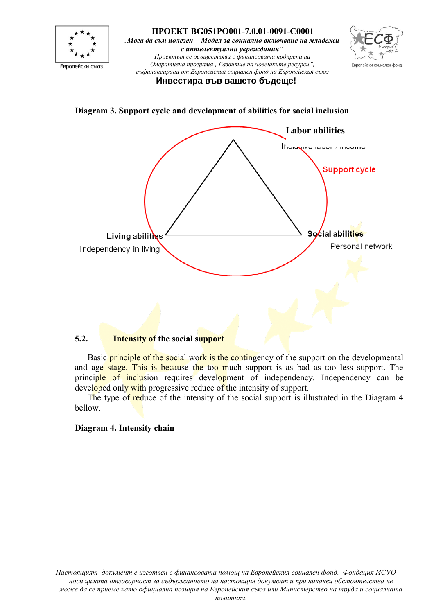

**Diagram 3. Support cycle and development of abilities for social inclusion**



#### **5.2. Intensity of the social support**

Basic principle of the social work is the contingency of the support on the developmental and age stage. This is because the too much support is as bad as too less support. The principle of inclusion requires development of independency. Independency can be developed only with progressive reduce of the intensity of support.

The type of reduce of the intensity of the social support is illustrated in the Diagram 4 bellow.

#### **Diagram 4. Intensity chain**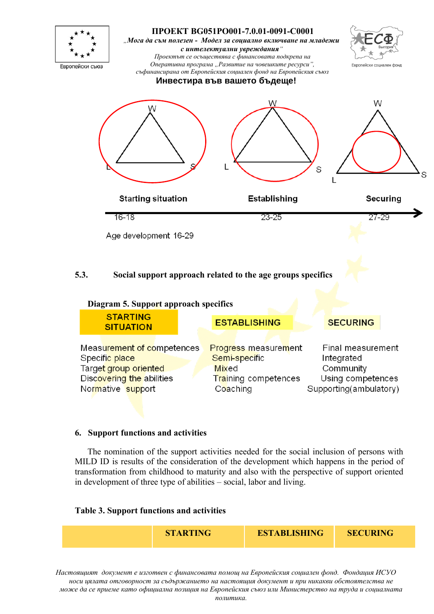

| Measurement of competences | <b>Progress measurement</b> | Final measurement      |
|----------------------------|-----------------------------|------------------------|
| Specific place             | Semi-specific               | Integrated             |
| Target group oriented      | <b>Mixed</b>                | Community              |
| Discovering the abilities  | <b>Training competences</b> | Using competences      |
| Normative support          | Coaching                    | Supporting(ambulatory) |
|                            |                             |                        |

#### **6. Support functions and activities**

The nomination of the support activities needed for the social inclusion of persons with MILD ID is results of the consideration of the development which happens in the period of transformation from childhood to maturity and also with the perspective of support oriented in development of three type of abilities – social, labor and living.

#### **Table 3. Support functions and activities**

| <b>STARTING</b> | <b>ESTABLISHING</b> | <b>SECURING</b> |
|-----------------|---------------------|-----------------|
|                 |                     |                 |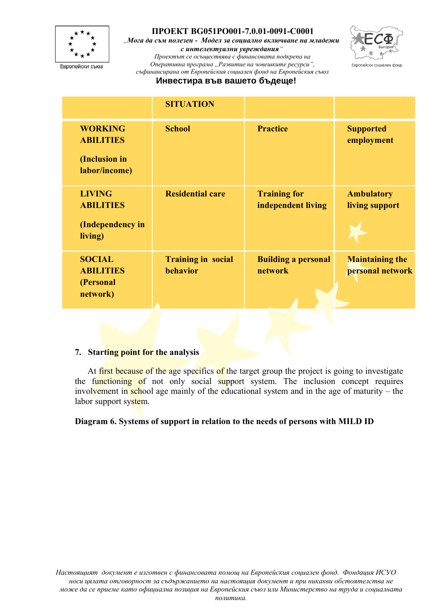

*"Мога да съм полезен - Модел за социално включване на младежи с интелектуални увреждания"*



*Проектът се осъществява с финансовата подкрепа на Оперативна програма "Развитие на човешките ресурси", съфинансирана от Европейския социален фонд на Европейския съюз*

#### **Инвестира във вашето бъдеще!**

|                                                                      | <b>SITUATION</b>                      |                                           |                                            |
|----------------------------------------------------------------------|---------------------------------------|-------------------------------------------|--------------------------------------------|
| <b>WORKING</b><br><b>ABILITIES</b><br>(Inclusion in<br>labor/income) | <b>School</b>                         | <b>Practice</b>                           | <b>Supported</b><br>employment             |
| <b>LIVING</b><br><b>ABILITIES</b><br>(Independency in<br>living)     | <b>Residential care</b>               | <b>Training for</b><br>independent living | <b>Ambulatory</b><br>living support        |
| <b>SOCIAL</b><br><b>ABILITIES</b><br>(Personal<br>network)           | <b>Training in social</b><br>behavior | <b>Building a personal</b><br>network     | <b>Maintaining the</b><br>personal network |

#### **7. Starting point for the analysis**

At first because of the age specifics of the target group the project is going to investigate the functioning of not only social support system. The inclusion concept requires involvement in school age mainly of the educational system and in the age of maturity – the labor support system.

## **Diagram 6. Systems of support in relation to the needs of persons with MILD ID**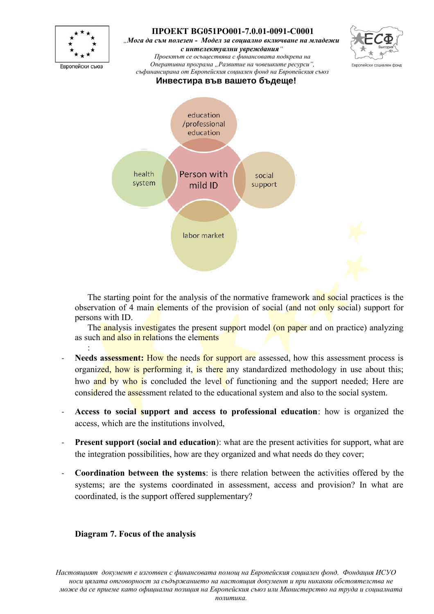

The starting point for the analysis of the normative framework and social practices is the observation of 4 main elements of the provision of social (and not only social) support for persons with ID.

The analysis investigates the present support model (on paper and on practice) analyzing as such and also in relations the elements

- **Needs assessment:** How the needs for support are assessed, how this assessment process is organized, how is performing it, is there any standardized methodology in use about this; hwo and by who is concluded the level of functioning and the support needed; Here are considered the assessment related to the educational system and also to the social system.
- **Access to social support and access to professional education**: how is organized the access, which are the institutions involved,
- **Present support (social and education):** what are the present activities for support, what are the integration possibilities, how are they organized and what needs do they cover;
- **Coordination between the systems**: is there relation between the activities offered by the systems; are the systems coordinated in assessment, access and provision? In what are coordinated, is the support offered supplementary?

## **Diagram 7. Focus of the analysis**

:

*Настоящият документ е изготвен с финансовата помощ на Европейския социален фонд. Фондация ИСУО носи цялата отговорност за съдържанието на настоящия документ и при никакви обстоятелства не може да се приеме като официална позиция на Европейския съюз или Министерство на труда и социалната*

*политика.*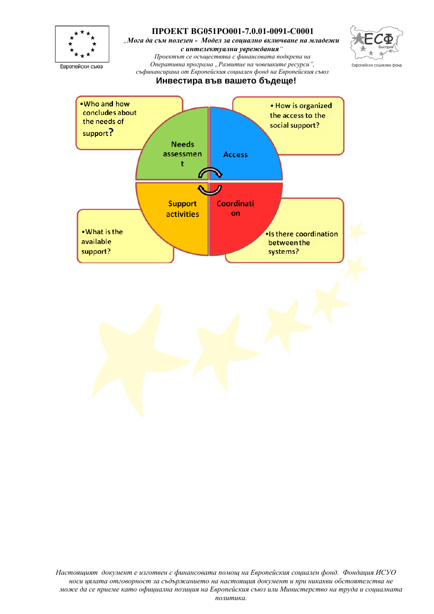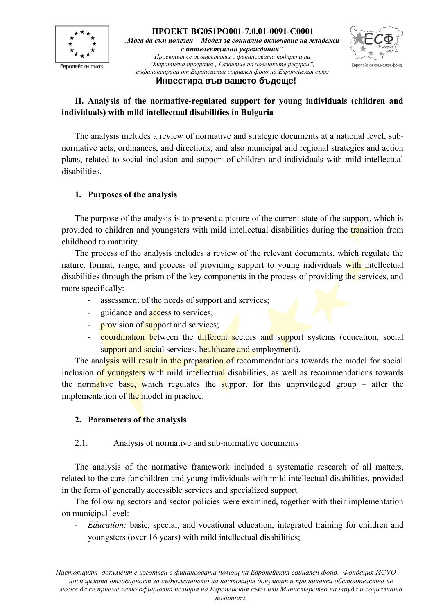



## **II. Analysis of the normative-regulated support for young individuals (children and individuals) with mild intellectual disabilities in Bulgaria**

The analysis includes a review of normative and strategic documents at a national level, subnormative acts, ordinances, and directions, and also municipal and regional strategies and action plans, related to social inclusion and support of children and individuals with mild intellectual disabilities.

## **1. Purposes of the analysis**

The purpose of the analysis is to present a picture of the current state of the support, which is provided to children and youngsters with mild intellectual disabilities during the transition from childhood to maturity.

The process of the analysis includes a review of the relevant documents, which regulate the nature, format, range, and process of providing support to young individuals with intellectual disabilities through the prism of the key components in the process of providing the services, and more specifically:

- assessment of the needs of support and services;
- guidance and **access** to services;
- **provision of support and services**;
- coordination between the different sectors and support systems (education, social support and social services, healthcare and employment).

The analysis will result in the preparation of recommendations towards the model for social inclusion of youngsters with mild intellectual disabilities, as well as recommendations towards the normative base, which regulates the support for this unprivileged group – after the implementation of the model in practice.

## **2. Parameters of the analysis**

## 2.1. Analysis of normative and sub-normative documents

The analysis of the normative framework included a systematic research of all matters, related to the care for children and young individuals with mild intellectual disabilities, provided in the form of generally accessible services and specialized support.

The following sectors and sector policies were examined, together with their implementation on municipal level:

*Education:* basic, special, and vocational education, integrated training for children and youngsters (over 16 years) with mild intellectual disabilities;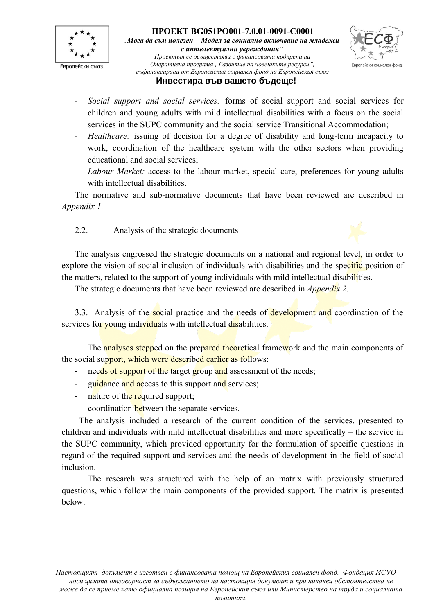



#### **Инвестира във вашето бъдеще!**

- *Social support and social services:* forms of social support and social services for children and young adults with mild intellectual disabilities with a focus on the social services in the SUPC community and the social service Transitional Accommodation;
- *Healthcare:* issuing of decision for a degree of disability and long-term incapacity to work, coordination of the healthcare system with the other sectors when providing educational and social services;
- Labour Market: access to the labour market, special care, preferences for young adults with intellectual disabilities.

The normative and sub-normative documents that have been reviewed are described in *Appendix 1.*

2.2. Analysis of the strategic documents

The analysis engrossed the strategic documents on a national and regional level, in order to explore the vision of social inclusion of individuals with disabilities and the specific position of the matters, related to the support of young individuals with mild intellectual disabilities.

The strategic documents that have been reviewed are described in *Appendix 2.*

3.3. Analysis of the social practice and the needs of development and coordination of the services for young individuals with intellectual disabilities.

The **analyses stepped** on the prepared theoretical framework and the main components of the social support, which were described earlier as follows:

- needs of support of the target group and assessment of the needs;
- guidance and access to this support and services;
- nature of the required support;
- coordination between the separate services.

 The analysis included a research of the current condition of the services, presented to children and individuals with mild intellectual disabilities and more specifically – the service in the SUPC community, which provided opportunity for the formulation of specific questions in regard of the required support and services and the needs of development in the field of social inclusion.

The research was structured with the help of an matrix with previously structured questions, which follow the main components of the provided support. The matrix is presented below.

*Настоящият документ е изготвен с финансовата помощ на Европейския социален фонд. Фондация ИСУО носи цялата отговорност за съдържанието на настоящия документ и при никакви обстоятелства не може да се приеме като официална позиция на Европейския съюз или Министерство на труда и социалната*

*политика.*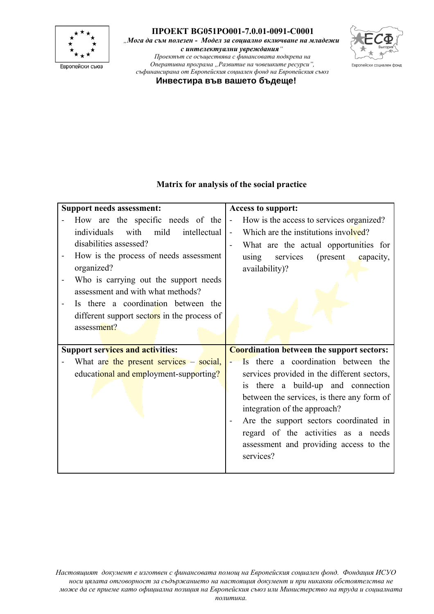

*"Мога да съм полезен - Модел за социално включване на младежи с интелектуални увреждания"*

*Проектът се осъществява с финансовата подкрепа на Оперативна програма "Развитие на човешките ресурси", съфинансирана от Европейския социален фонд на Европейския съюз*



**Инвестира във вашето бъдеще!**

## **Matrix for analysis of the social practice**

| <b>Support needs assessment:</b>            | <b>Access to support:</b>                                  |
|---------------------------------------------|------------------------------------------------------------|
| How are the specific needs of the           | How is the access to services organized?<br>$\blacksquare$ |
| with<br>intellectual<br>individuals<br>mild | Which are the institutions involved?<br>$\overline{a}$     |
| disabilities assessed?                      | What are the actual opportunities for                      |
| How is the process of needs assessment      | services (present<br>capacity,<br>using                    |
| organized?                                  | availability)?                                             |
| Who is carrying out the support needs       |                                                            |
| assessment and with what methods?           |                                                            |
| Is there a coordination between the         |                                                            |
| different support sectors in the process of |                                                            |
| assessment?                                 |                                                            |
|                                             |                                                            |
|                                             |                                                            |
| <b>Support services and activities:</b>     | <b>Coordination between the support sectors:</b>           |
| What are the present services – social,     | Is there a coordination between the                        |
| educational and employment-supporting?      | services provided in the different sectors,                |
|                                             | is there a build-up and connection                         |
|                                             | between the services, is there any form of                 |
|                                             | integration of the approach?                               |
|                                             | Are the support sectors coordinated in<br>$\blacksquare$   |
|                                             | regard of the activities as a needs                        |
|                                             | assessment and providing access to the                     |
|                                             | services?                                                  |

*Настоящият документ е изготвен с финансовата помощ на Европейския социален фонд. Фондация ИСУО носи цялата отговорност за съдържанието на настоящия документ и при никакви обстоятелства не може да се приеме като официална позиция на Европейския съюз или Министерство на труда и социалната*

*политика.*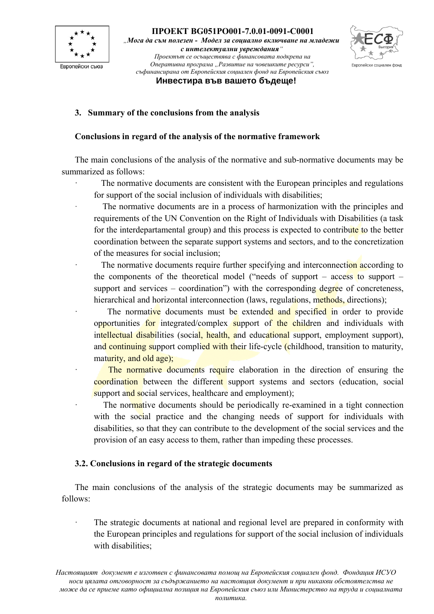



# **3. Summary of the conclusions from the analysis**

#### **Conclusions in regard of the analysis of the normative framework**

The main conclusions of the analysis of the normative and sub-normative documents may be summarized as follows:

The normative documents are consistent with the European principles and regulations for support of the social inclusion of individuals with disabilities;

The normative documents are in a process of harmonization with the principles and requirements of the UN Convention on the Right of Individuals with Disabilities (a task for the interdepartamental group) and this process is expected to contribute to the better coordination between the separate support systems and sectors, and to the concretization of the measures for social inclusion;

The normative documents require further specifying and interconnection according to the components of the theoretical model ("needs of support – access to support – support and services – coordination") with the corresponding degree of concreteness, hierarchical and horizontal interconnection (laws, regulations, methods, directions);

The normative documents must be extended and specified in order to provide opportunities for integrated/complex support of the children and individuals with intellectual disabilities (social, health, and educational support, employment support), and continuing support complied with their life-cycle (childhood, transition to maturity, maturity, and old age);

The normative documents require elaboration in the direction of ensuring the coordination between the different support systems and sectors (education, social support and social services, healthcare and employment);

The normative documents should be periodically re-examined in a tight connection with the social practice and the changing needs of support for individuals with disabilities, so that they can contribute to the development of the social services and the provision of an easy access to them, rather than impeding these processes.

#### **3.2. Conclusions in regard of the strategic documents**

The main conclusions of the analysis of the strategic documents may be summarized as follows:

The strategic documents at national and regional level are prepared in conformity with the European principles and regulations for support of the social inclusion of individuals with disabilities: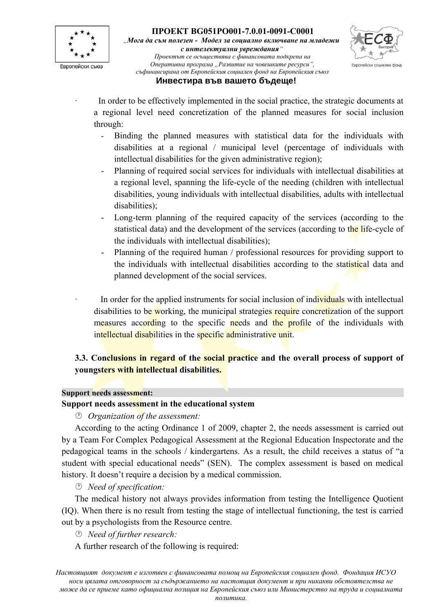



#### **Инвестира във вашето бъдеще!**

- In order to be effectively implemented in the social practice, the strategic documents at a regional level need concretization of the planned measures for social inclusion through:
	- Binding the planned measures with statistical data for the individuals with disabilities at a regional / municipal level (percentage of individuals with intellectual disabilities for the given administrative region);
	- Planning of required social services for individuals with intellectual disabilities at a regional level, spanning the life-cycle of the needing (children with intellectual disabilities, young individuals with intellectual disabilities, adults with intellectual disabilities);
	- Long-term planning of the required capacity of the services (according to the statistical data) and the development of the services (according to the life-cycle of the individuals with intellectual disabilities);
	- Planning of the required human / professional resources for providing support to the individuals with intellectual disabilities according to the statistical data and planned development of the social services.

In order for the applied instruments for social inclusion of individuals with intellectual disabilities to be working, the municipal strategies require concretization of the support measures according to the specific needs and the profile of the individuals with intellectual disabilities in the specific administrative unit.

## **3.3. Conclusions in regard of the social practice and the overall process of support of youngsters with intellectual disabilities.**

#### **Support needs assessment:**

## **Support needs assessment in the educational system**

*Organization of the assessment:*

According to the acting Ordinance 1 of 2009, chapter 2, the needs assessment is carried out by a Team For Complex Pedagogical Assessment at the Regional Education Inspectorate and the pedagogical teams in the schools / kindergartens. As a result, the child receives a status of "a student with special educational needs" (SEN). The complex assessment is based on medical history. It doesn't require a decision by a medical commission.

*Need of specification:*

The medical history not always provides information from testing the Intelligence Quotient (IQ). When there is no result from testing the stage of intellectual functioning, the test is carried out by a psychologists from the Resource centre.

*Need of further research:*

A further research of the following is required: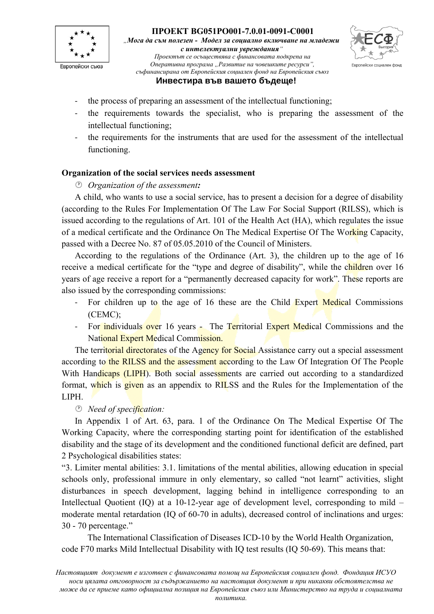



#### **Инвестира във вашето бъдеще!**

- the process of preparing an assessment of the intellectual functioning;
- the requirements towards the specialist, who is preparing the assessment of the intellectual functioning;
- the requirements for the instruments that are used for the assessment of the intellectual functioning.

#### **Organization of the social services needs assessment**

*Organization of the assessment:*

A child, who wants to use a social service, has to present a decision for a degree of disability (according to the Rules For Implementation Of The Law For Social Support (RILSS), which is issued according to the regulations of Art. 101 of the Health Act (HA), which regulates the issue of a medical certificate and the Ordinance On The Medical Expertise Of The Working Capacity, passed with a Decree No. 87 of 05.05.2010 of the Council of Ministers.

According to the regulations of the Ordinance (Art. 3), the children up to the age of 16 receive a medical certificate for the "type and degree of disability", while the children over 16 years of age receive a report for a "permanently decreased capacity for work". These reports are also issued by the corresponding commissions:

- For children up to the age of 16 these are the Child Expert Medical Commissions (CEMC);
- For individuals over 16 years The Territorial Expert Medical Commissions and the National Expert Medical Commission.

The territorial directorates of the Agency for Social Assistance carry out a special assessment according to the RILSS and the assessment according to the Law Of Integration Of The People With Handicaps (LIPH). Both social assessments are carried out according to a standardized format, which is given as an appendix to RILSS and the Rules for the Implementation of the LIPH.

*Need of specification:*

In Appendix 1 of Art. 63, para. 1 of the Ordinance On The Medical Expertise Of The Working Capacity, where the corresponding starting point for identification of the established disability and the stage of its development and the conditioned functional deficit are defined, part 2 Psychological disabilities states:

"3. Limiter mental abilities: 3.1. limitations of the mental abilities, allowing education in special schools only, professional immure in only elementary, so called "not learnt" activities, slight disturbances in speech development, lagging behind in intelligence corresponding to an Intellectual Quotient (IQ) at a 10-12-year age of development level, corresponding to mild – moderate mental retardation (IQ of 60-70 in adults), decreased control of inclinations and urges: 30 - 70 percentage."

The International Classification of Diseases ICD-10 by the World Health Organization, code F70 marks Mild Intellectual Disability with IQ test results (IQ 50-69). This means that: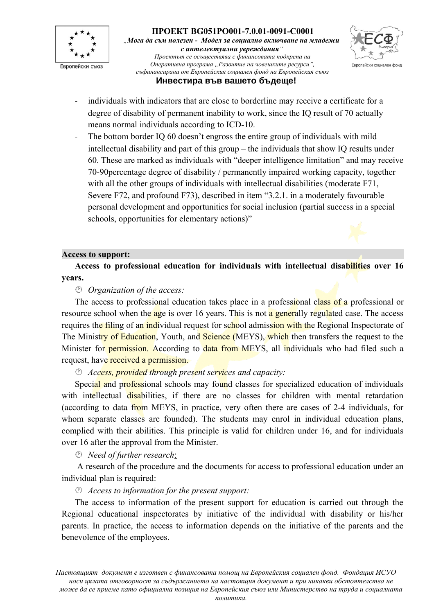



## **Инвестира във вашето бъдеще!**

- individuals with indicators that are close to borderline may receive a certificate for a degree of disability of permanent inability to work, since the IQ result of 70 actually means normal individuals according to ICD-10.
- The bottom border IQ 60 doesn't engross the entire group of individuals with mild intellectual disability and part of this group – the individuals that show IQ results under 60. These are marked as individuals with "deeper intelligence limitation" and may receive 70-90percentage degree of disability / permanently impaired working capacity, together with all the other groups of individuals with intellectual disabilities (moderate F71, Severe F72, and profound F73), described in item "3.2.1. in a moderately favourable personal development and opportunities for social inclusion (partial success in a special schools, opportunities for elementary actions)"

#### **Access to support:**

**Access to professional education for individuals with intellectual disabilities over 16 years.**

#### *Organization of the access:*

The access to professional education takes place in a professional class of a professional or resource school when the age is over 16 years. This is not a generally regulated case. The access requires the filing of an individual request for school admission with the Regional Inspectorate of The Ministry of Education, Youth, and Science (MEYS), which then transfers the request to the Minister for permission. According to data from MEYS, all individuals who had filed such a request, have received a permission.

#### *Access, provided through present services and capacity:*

Special and professional schools may found classes for specialized education of individuals with intellectual disabilities, if there are no classes for children with mental retardation (according to data from MEYS, in practice, very often there are cases of 2-4 individuals, for whom separate classes are founded). The students may enrol in individual education plans, complied with their abilities. This principle is valid for children under 16, and for individuals over 16 after the approval from the Minister.

*Need of further research*:

 A research of the procedure and the documents for access to professional education under an individual plan is required:

*Access to information for the present support:*

The access to information of the present support for education is carried out through the Regional educational inspectorates by initiative of the individual with disability or his/her parents. In practice, the access to information depends on the initiative of the parents and the benevolence of the employees.

*Настоящият документ е изготвен с финансовата помощ на Европейския социален фонд. Фондация ИСУО носи цялата отговорност за съдържанието на настоящия документ и при никакви обстоятелства не може да се приеме като официална позиция на Европейския съюз или Министерство на труда и социалната*

*политика.*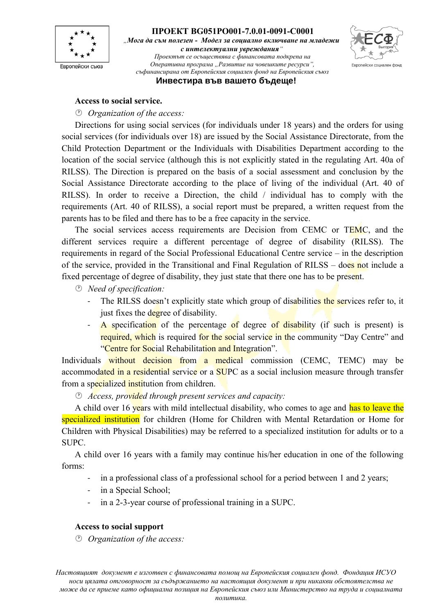



**Инвестира във вашето бъдеще!**

#### **Access to social service.**

*Organization of the access:*

Directions for using social services (for individuals under 18 years) and the orders for using social services (for individuals over 18) are issued by the Social Assistance Directorate, from the Child Protection Department or the Individuals with Disabilities Department according to the location of the social service (although this is not explicitly stated in the regulating Art. 40a of RILSS). The Direction is prepared on the basis of a social assessment and conclusion by the Social Assistance Directorate according to the place of living of the individual (Art. 40 of RILSS). In order to receive a Direction, the child / individual has to comply with the requirements (Art. 40 of RILSS), a social report must be prepared, a written request from the parents has to be filed and there has to be a free capacity in the service.

The social services access requirements are Decision from CEMC or TEMC, and the different services require a different percentage of degree of disability (RILSS). The requirements in regard of the Social Professional Educational Centre service – in the description of the service, provided in the Transitional and Final Regulation of RILSS – does not include a fixed percentage of degree of disability, they just state that there one has to be present.

- *Need of specification:* 
	- The RILSS doesn't explicitly state which group of disabilities the services refer to, it just fixes the degree of disability.
	- A specification of the percentage of degree of disability (if such is present) is required, which is required for the social service in the community "Day Centre" and "Centre for Social Rehabilitation and Integration".

Individuals without decision from a medical commission (CEMC, TEMC) may be accommodated in a residential service or a SUPC as a social inclusion measure through transfer from a specialized institution from children.

*Access, provided through present services and capacity:* 

A child over 16 years with mild intellectual disability, who comes to age and has to leave the specialized institution for children (Home for Children with Mental Retardation or Home for Children with Physical Disabilities) may be referred to a specialized institution for adults or to a SUPC.

A child over 16 years with a family may continue his/her education in one of the following forms:

- in a professional class of a professional school for a period between 1 and 2 years;
- in a Special School;
- in a 2-3-year course of professional training in a SUPC.

#### **Access to social support**

*Organization of the access:*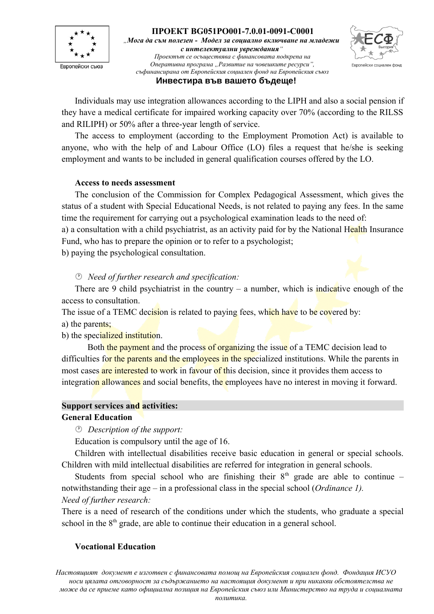



# Individuals may use integration allowances according to the LIPH and also a social pension if

they have a medical certificate for impaired working capacity over 70% (according to the RILSS and RILIPH) or 50% after a three-year length of service.

The access to employment (according to the Employment Promotion Act) is available to anyone, who with the help of and Labour Office (LO) files a request that he/she is seeking employment and wants to be included in general qualification courses offered by the LO.

## **Access to needs assessment**

The conclusion of the Commission for Complex Pedagogical Assessment, which gives the status of a student with Special Educational Needs, is not related to paying any fees. In the same time the requirement for carrying out a psychological examination leads to the need of:

a) a consultation with a child psychiatrist, as an activity paid for by the National Health Insurance Fund, who has to prepare the opinion or to refer to a psychologist;

b) paying the psychological consultation.

*Need of further research and specification:*

There are 9 child psychiatrist in the country – a number, which is indicative enough of the access to consultation.

The issue of a TEMC decision is related to paying fees, which have to be covered by:

a) the parents;

b) the specialized institution.

Both the payment and the process of organizing the issue of a TEMC decision lead to difficulties for the parents and the employees in the specialized institutions. While the parents in most cases are interested to work in favour of this decision, since it provides them access to integration allowances and social benefits, the employees have no interest in moving it forward.

## **Support services and activities:**

## **General Education**

*Description of the support:*

Education is compulsory until the age of 16.

Children with intellectual disabilities receive basic education in general or special schools. Children with mild intellectual disabilities are referred for integration in general schools.

Students from special school who are finishing their  $8<sup>th</sup>$  grade are able to continue – notwithstanding their age – in a professional class in the special school (*Ordinance 1). Need of further research:* 

There is a need of research of the conditions under which the students, who graduate a special school in the  $8<sup>th</sup>$  grade, are able to continue their education in a general school.

## **Vocational Education**

*Настоящият документ е изготвен с финансовата помощ на Европейския социален фонд. Фондация ИСУО носи цялата отговорност за съдържанието на настоящия документ и при никакви обстоятелства не може да се приеме като официална позиция на Европейския съюз или Министерство на труда и социалната*

*политика.*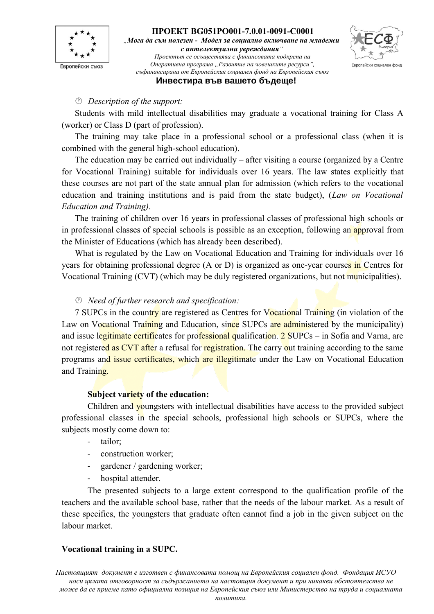



#### **Инвестира във вашето бъдеще!**

#### *Description of the support:*

Students with mild intellectual disabilities may graduate a vocational training for Class A (worker) or Class D (part of profession).

The training may take place in a professional school or a professional class (when it is combined with the general high-school education).

The education may be carried out individually – after visiting a course (organized by a Centre for Vocational Training) suitable for individuals over 16 years. The law states explicitly that these courses are not part of the state annual plan for admission (which refers to the vocational education and training institutions and is paid from the state budget), (*Law on Vocational Education and Training)*.

The training of children over 16 years in professional classes of professional high schools or in professional classes of special schools is possible as an exception, following an approval from the Minister of Educations (which has already been described).

What is regulated by the Law on Vocational Education and Training for individuals over 16 years for obtaining professional degree (A or D) is organized as one-year courses in Centres for Vocational Training (CVT) (which may be duly registered organizations, but not municipalities).

#### *Need of further research and specification:*

7 SUPCs in the country are registered as Centres for Vocational Training (in violation of the Law on Vocational Training and Education, since SUPCs are administered by the municipality) and issue legitimate certificates for professional qualification. 2 SUPCs – in Sofia and Varna, are not registered as CVT after a refusal for registration. The carry out training according to the same programs and issue certificates, which are illegitimate under the Law on Vocational Education and Training.

#### **Subject variety of the education:**

Children and youngsters with intellectual disabilities have access to the provided subject professional classes in the special schools, professional high schools or SUPCs, where the subjects mostly come down to:

- tailor;
- construction worker;
- gardener / gardening worker;
- hospital attender.

The presented subjects to a large extent correspond to the qualification profile of the teachers and the available school base, rather that the needs of the labour market. As a result of these specifics, the youngsters that graduate often cannot find a job in the given subject on the labour market.

#### **Vocational training in a SUPC.**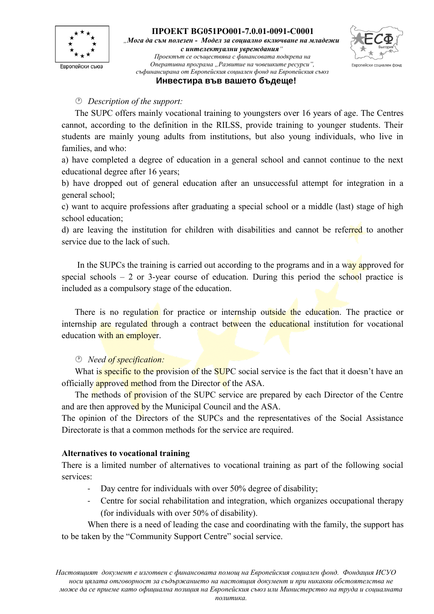



#### **Инвестира във вашето бъдеще!**

#### *Description of the support:*

The SUPC offers mainly vocational training to youngsters over 16 years of age. The Centres cannot, according to the definition in the RILSS, provide training to younger students. Their students are mainly young adults from institutions, but also young individuals, who live in families, and who:

a) have completed a degree of education in a general school and cannot continue to the next educational degree after 16 years;

b) have dropped out of general education after an unsuccessful attempt for integration in a general school;

c) want to acquire professions after graduating a special school or a middle (last) stage of high school education;

d) are leaving the institution for children with disabilities and cannot be referred to another service due to the lack of such.

In the SUPCs the training is carried out according to the programs and in a way approved for special schools  $-2$  or 3-year course of education. During this period the school practice is included as a compulsory stage of the education.

There is no regulation for practice or internship outside the education. The practice or internship are regulated through a contract between the educational institution for vocational education with an employer.

#### *Need of specification:*

What is specific to the provision of the SUPC social service is the fact that it doesn't have an officially **approved method** from the Director of the ASA.

The methods of provision of the SUPC service are prepared by each Director of the Centre and are then approved by the Municipal Council and the ASA.

The opinion of the Directors of the SUPCs and the representatives of the Social Assistance Directorate is that a common methods for the service are required.

#### **Alternatives to vocational training**

There is a limited number of alternatives to vocational training as part of the following social services:

- Day centre for individuals with over 50% degree of disability;
- Centre for social rehabilitation and integration, which organizes occupational therapy (for individuals with over 50% of disability).

When there is a need of leading the case and coordinating with the family, the support has to be taken by the "Community Support Centre" social service.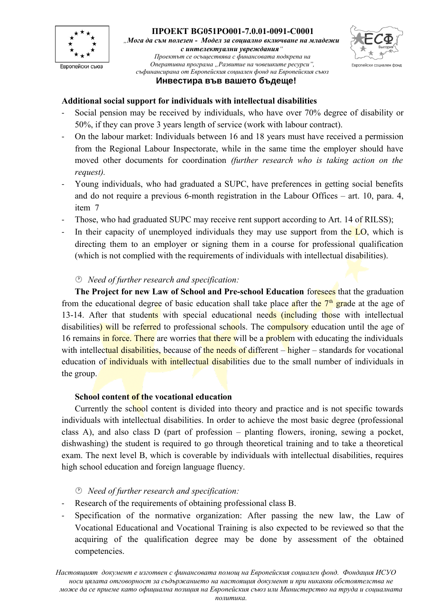



## **Инвестира във вашето бъдеще!**

## **Additional social support for individuals with intellectual disabilities**

- Social pension may be received by individuals, who have over 70% degree of disability or 50%, if they can prove 3 years length of service (work with labour contract).
- On the labour market: Individuals between 16 and 18 years must have received a permission from the Regional Labour Inspectorate, while in the same time the employer should have moved other documents for coordination *(further research who is taking action on the request).*
- Young individuals, who had graduated a SUPC, have preferences in getting social benefits and do not require a previous 6-month registration in the Labour Offices – art. 10, para. 4, item 7
- Those, who had graduated SUPC may receive rent support according to Art. 14 of RILSS);
- In their capacity of unemployed individuals they may use support from the  $LO$ , which is directing them to an employer or signing them in a course for professional qualification (which is not complied with the requirements of individuals with intellectual disabilities).

#### *Need of further research and specification:*

**The Project for new Law of School and Pre-school Education** foresees that the graduation from the educational degree of basic education shall take place after the  $7<sup>th</sup>$  grade at the age of 13-14. After that students with special educational needs (including those with intellectual disabilities) will be referred to professional schools. The compulsory education until the age of 16 remains in force. There are worries that there will be a problem with educating the individuals with intellectual disabilities, because of the needs of different  $-\text{higher}$  – standards for vocational education of individuals with intellectual disabilities due to the small number of individuals in the group.

#### **School content of the vocational education**

Currently the school content is divided into theory and practice and is not specific towards individuals with intellectual disabilities. In order to achieve the most basic degree (professional class A), and also class D (part of profession – planting flowers, ironing, sewing a pocket, dishwashing) the student is required to go through theoretical training and to take a theoretical exam. The next level B, which is coverable by individuals with intellectual disabilities, requires high school education and foreign language fluency.

## *Need of further research and specification:*

- Research of the requirements of obtaining professional class B.
- Specification of the normative organization: After passing the new law, the Law of Vocational Educational and Vocational Training is also expected to be reviewed so that the acquiring of the qualification degree may be done by assessment of the obtained competencies.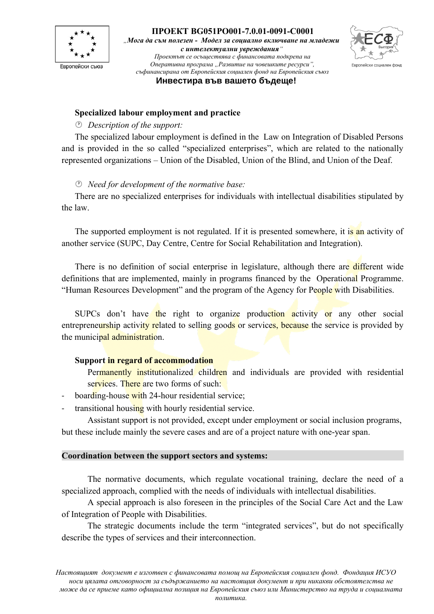



**Инвестира във вашето бъдеще!**

#### **Specialized labour employment and practice**

#### *Description of the support:*

The specialized labour employment is defined in the Law on Integration of Disabled Persons and is provided in the so called "specialized enterprises", which are related to the nationally represented organizations – Union of the Disabled, Union of the Blind, and Union of the Deaf.

#### *Need for development of the normative base:*

There are no specialized enterprises for individuals with intellectual disabilities stipulated by the law.

The supported employment is not regulated. If it is presented somewhere, it is an activity of another service (SUPC, Day Centre, Centre for Social Rehabilitation and Integration).

There is no definition of social enterprise in legislature, although there are different wide definitions that are implemented, mainly in programs financed by the Operational Programme. "Human Resources Development" and the program of the Agency for People with Disabilities.

SUPCs don't have the right to organize production activity or any other social entrepreneurship activity related to selling goods or services, because the service is provided by the municipal administration.

#### **Support in regard of accommodation**

Permanently institutionalized children and individuals are provided with residential services. There are two forms of such:

- boarding-house with 24-hour residential service;
- transitional housing with hourly residential service.

Assistant support is not provided, except under employment or social inclusion programs, but these include mainly the severe cases and are of a project nature with one-year span.

#### **Coordination between the support sectors and systems:**

The normative documents, which regulate vocational training, declare the need of a specialized approach, complied with the needs of individuals with intellectual disabilities.

A special approach is also foreseen in the principles of the Social Care Act and the Law of Integration of People with Disabilities.

The strategic documents include the term "integrated services", but do not specifically describe the types of services and their interconnection.

*политика.*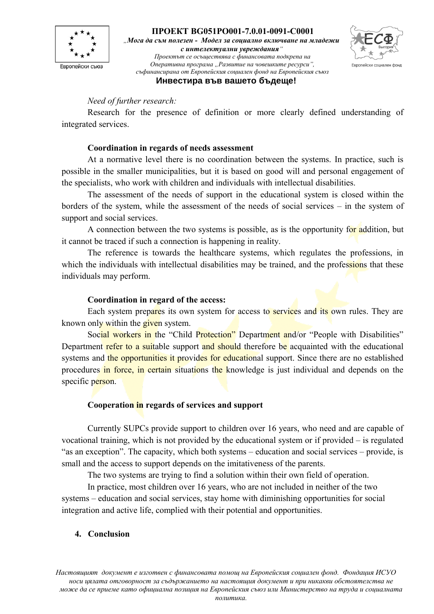

**ПРОЕКТ BG051PO001-7.0.01-0091-С0001** *"Мога да съм полезен - Модел за социално включване на младежи с интелектуални увреждания" Проектът се осъществява с финансовата подкрепа на*

*Оперативна програма "Развитие на човешките ресурси",* Европейски социален фонд *съфинансирана от Европейския социален фонд на Европейския съюз*

**Инвестира във вашето бъдеще!**

#### *Need of further research:*

Research for the presence of definition or more clearly defined understanding of integrated services.

## **Coordination in regards of needs assessment**

At a normative level there is no coordination between the systems. In practice, such is possible in the smaller municipalities, but it is based on good will and personal engagement of the specialists, who work with children and individuals with intellectual disabilities.

The assessment of the needs of support in the educational system is closed within the borders of the system, while the assessment of the needs of social services – in the system of support and social services.

A connection between the two systems is possible, as is the opportunity for addition, but it cannot be traced if such a connection is happening in reality.

The reference is towards the healthcare systems, which regulates the professions, in which the individuals with intellectual disabilities may be trained, and the professions that these individuals may perform.

## **Coordination in regard of the access:**

Each system prepares its own system for access to services and its own rules. They are known only within the given system.

Social workers in the "Child Protection" Department and/or "People with Disabilities" Department refer to a suitable support and should therefore be acquainted with the educational systems and the opportunities it provides for educational support. Since there are no established procedures in force, in certain situations the knowledge is just individual and depends on the specific person.

## **Cooperation in regards of services and support**

Currently SUPCs provide support to children over 16 years, who need and are capable of vocational training, which is not provided by the educational system or if provided – is regulated "as an exception". The capacity, which both systems – education and social services – provide, is small and the access to support depends on the imitativeness of the parents.

The two systems are trying to find a solution within their own field of operation.

In practice, most children over 16 years, who are not included in neither of the two systems – education and social services, stay home with diminishing opportunities for social integration and active life, complied with their potential and opportunities.

## **4. Conclusion**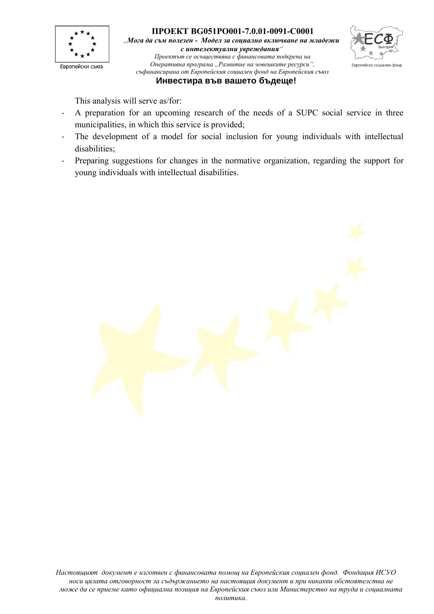



This analysis will serve as/for:

- A preparation for an upcoming research of the needs of a SUPC social service in three municipalities, in which this service is provided;
- The development of a model for social inclusion for young individuals with intellectual disabilities;
- Preparing suggestions for changes in the normative organization, regarding the support for young individuals with intellectual disabilities.

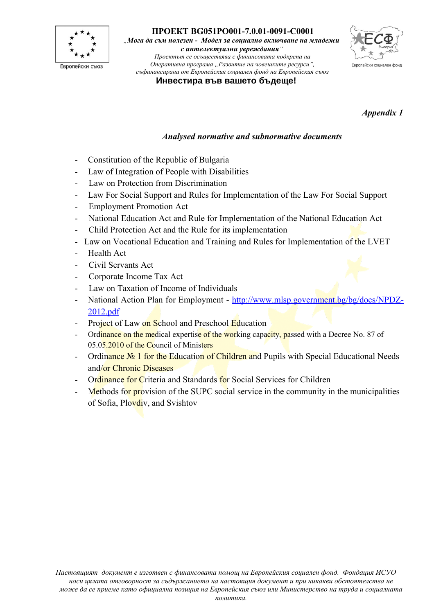

*"Мога да съм полезен - Модел за социално включване на младежи с интелектуални увреждания"*

*Проектът се осъществява с финансовата подкрепа на Оперативна програма "Развитие на човешките ресурси", съфинансирана от Европейския социален фонд на Европейския съюз*



**Инвестира във вашето бъдеще!**

*Appendix 1*

## *Analysed normative and subnormative documents*

- Constitution of the Republic of Bulgaria
- Law of Integration of People with Disabilities
- Law on Protection from Discrimination
- Law For Social Support and Rules for Implementation of the Law For Social Support
- Employment Promotion Act
- National Education Act and Rule for Implementation of the National Education Act
- Child Protection Act and the Rule for its implementation
- Law on Vocational Education and Training and Rules for Implementation of the LVET
- Health Act
- Civil Servants Act
- Corporate Income Tax Act
- Law on Taxation of Income of Individuals
- National Action Plan for Employment - [http://www.mlsp.government.bg/bg/docs/NPDZ-](http://www.mlsp.government.bg/bg/docs/NPDZ-2012.pdf)[2012.pdf](http://www.mlsp.government.bg/bg/docs/NPDZ-2012.pdf)
- Project of Law on School and Preschool Education
- Ordinance on the medical expertise of the working capacity, passed with a Decree No. 87 of 05.05.2010 of the Council of Ministers
- Ordinance No 1 for the Education of Children and Pupils with Special Educational Needs and/or Chronic Diseases
- Ordinance for Criteria and Standards for Social Services for Children
- Methods for provision of the SUPC social service in the community in the municipalities of Sofia, Plovdiv, and Svishtov